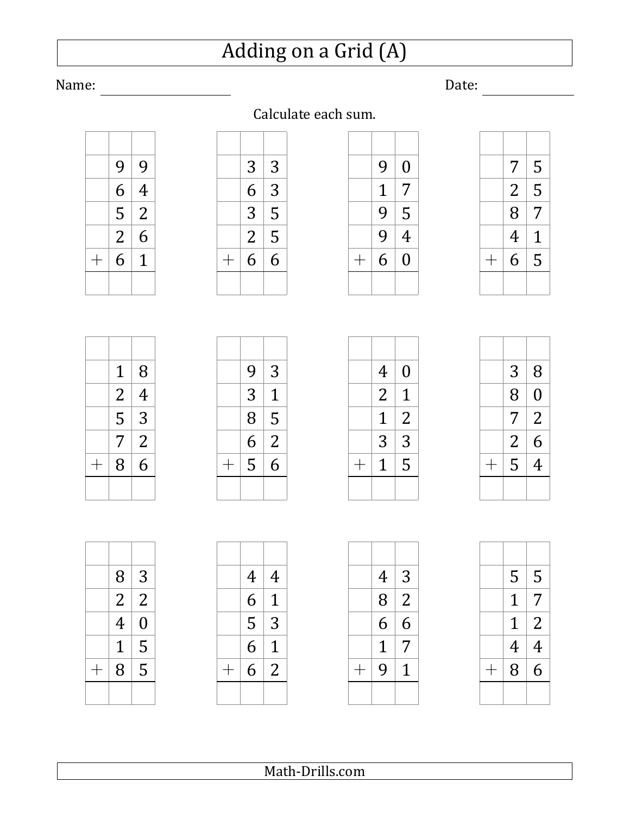## Adding on a Grid (A)

### Calculate each sum.

| 9 | 9              |
|---|----------------|
| 6 | 4              |
| 5 | $\overline{2}$ |
| 2 | 6              |
| 6 | 1              |
|   |                |

|                    | 3              | 3 |
|--------------------|----------------|---|
|                    | 6              | 3 |
|                    | 3              | 5 |
|                    | $\overline{2}$ | 5 |
| $\hspace{0.1mm} +$ | 6              | 6 |
|                    |                |   |

| 9 | 0 |
|---|---|
| 1 | 7 |
| 9 | 5 |
| 9 | 4 |
| 6 | 0 |
|   |   |

| 7 | 5 |
|---|---|
| 2 | 5 |
| 8 | 7 |
| 4 | 1 |
| 6 | 5 |
|   |   |

| 1              | 8              |
|----------------|----------------|
| $\overline{2}$ | 4              |
| 5              | 3              |
| 7              | $\overline{2}$ |
| 8              | 6              |
|                |                |

| 4 | $\overline{0}$ |
|---|----------------|
| 2 | 1              |
| 1 | $\overline{2}$ |
| 3 | 3              |
| 1 | 5              |
|   |                |

| 3              | 8              |
|----------------|----------------|
| 8              | $\overline{0}$ |
| 7              | $\overline{2}$ |
| $\overline{2}$ | 6              |
| 5              | 4              |
|                |                |

| 8 | 3              |
|---|----------------|
| 2 | 2              |
| 4 | $\overline{0}$ |
| 1 | 5              |
| 8 | 5              |
|   |                |

|                | 4 | 4              |
|----------------|---|----------------|
|                | 6 | 1              |
|                | 5 | 3              |
|                | 6 | 1              |
| $\overline{+}$ | 6 | $\overline{2}$ |
|                |   |                |

| 4 | 3 |
|---|---|
| 8 | 2 |
| 6 | 6 |
| 1 | 7 |
| 9 | 1 |
|   |   |

| 5 | 5              |
|---|----------------|
| 1 | 7              |
| 1 | $\overline{2}$ |
| 4 | 4              |
| 8 | 6              |
|   |                |

 $\mathcal{L} = \mathcal{L}$ 

Name: Date: